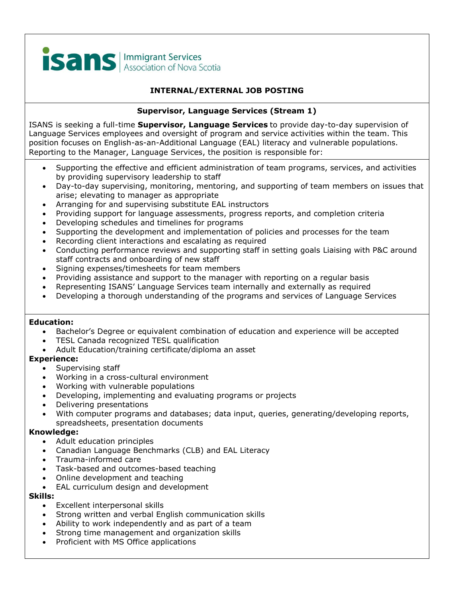

# **INTERNAL/EXTERNAL JOB POSTING**

## **Supervisor, Language Services (Stream 1)**

ISANS is seeking a full-time **Supervisor, Language Services** to provide day-to-day supervision of Language Services employees and oversight of program and service activities within the team. This position focuses on English-as-an-Additional Language (EAL) literacy and vulnerable populations. Reporting to the Manager, Language Services, the position is responsible for:

- Supporting the effective and efficient administration of team programs, services, and activities by providing supervisory leadership to staff
- Day-to-day supervising, monitoring, mentoring, and supporting of team members on issues that arise; elevating to manager as appropriate
- Arranging for and supervising substitute EAL instructors
- Providing support for language assessments, progress reports, and completion criteria
- Developing schedules and timelines for programs
- Supporting the development and implementation of policies and processes for the team
- Recording client interactions and escalating as required
- Conducting performance reviews and supporting staff in setting goals Liaising with P&C around staff contracts and onboarding of new staff
- Signing expenses/timesheets for team members
- Providing assistance and support to the manager with reporting on a regular basis
- Representing ISANS' Language Services team internally and externally as required
- Developing a thorough understanding of the programs and services of Language Services

### **Education:**

- Bachelor's Degree or equivalent combination of education and experience will be accepted
- TESL Canada recognized TESL qualification
- Adult Education/training certificate/diploma an asset

### **Experience:**

- Supervising staff
- Working in a cross-cultural environment
- Working with vulnerable populations
- Developing, implementing and evaluating programs or projects
- Delivering presentations
- With computer programs and databases; data input, queries, generating/developing reports, spreadsheets, presentation documents

### **Knowledge:**

- Adult education principles
- Canadian Language Benchmarks (CLB) and EAL Literacy
- Trauma-informed care
- Task-based and outcomes-based teaching
- Online development and teaching
- EAL curriculum design and development

### **Skills:**

- Excellent interpersonal skills
- Strong written and verbal English communication skills
- Ability to work independently and as part of a team
- Strong time management and organization skills
- Proficient with MS Office applications